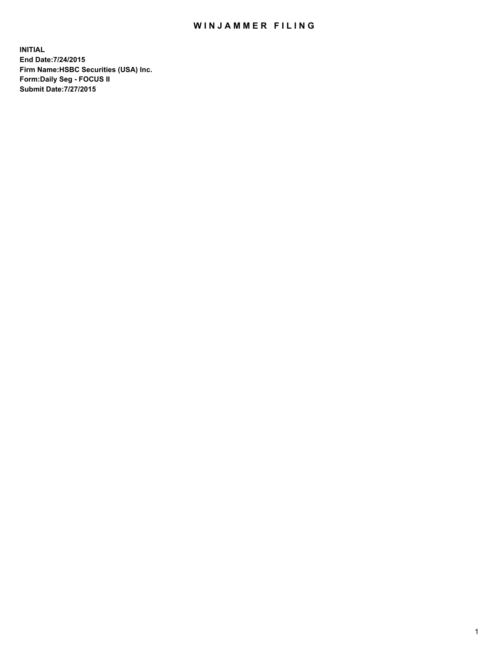## WIN JAMMER FILING

**INITIAL End Date:7/24/2015 Firm Name:HSBC Securities (USA) Inc. Form:Daily Seg - FOCUS II Submit Date:7/27/2015**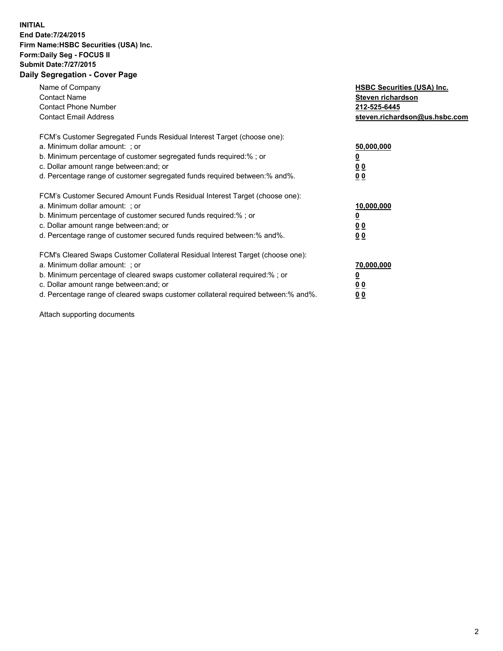## **INITIAL End Date:7/24/2015 Firm Name:HSBC Securities (USA) Inc. Form:Daily Seg - FOCUS II Submit Date:7/27/2015 Daily Segregation - Cover Page**

| Name of Company<br><b>Contact Name</b><br><b>Contact Phone Number</b><br><b>Contact Email Address</b>                                                                                                                                                                                                                         | <b>HSBC Securities (USA) Inc.</b><br>Steven richardson<br>212-525-6445<br>steven.richardson@us.hsbc.com |
|-------------------------------------------------------------------------------------------------------------------------------------------------------------------------------------------------------------------------------------------------------------------------------------------------------------------------------|---------------------------------------------------------------------------------------------------------|
| FCM's Customer Segregated Funds Residual Interest Target (choose one):<br>a. Minimum dollar amount: ; or<br>b. Minimum percentage of customer segregated funds required:% ; or<br>c. Dollar amount range between: and; or<br>d. Percentage range of customer segregated funds required between: % and %.                      | 50,000,000<br>0 <sub>0</sub><br>0 <sub>0</sub>                                                          |
| FCM's Customer Secured Amount Funds Residual Interest Target (choose one):<br>a. Minimum dollar amount: ; or<br>b. Minimum percentage of customer secured funds required:%; or<br>c. Dollar amount range between: and; or<br>d. Percentage range of customer secured funds required between:% and%.                           | 10,000,000<br>0 <sub>0</sub><br>00                                                                      |
| FCM's Cleared Swaps Customer Collateral Residual Interest Target (choose one):<br>a. Minimum dollar amount: ; or<br>b. Minimum percentage of cleared swaps customer collateral required:%; or<br>c. Dollar amount range between: and; or<br>d. Percentage range of cleared swaps customer collateral required between:% and%. | 70,000,000<br>0 <sub>0</sub><br>00                                                                      |

Attach supporting documents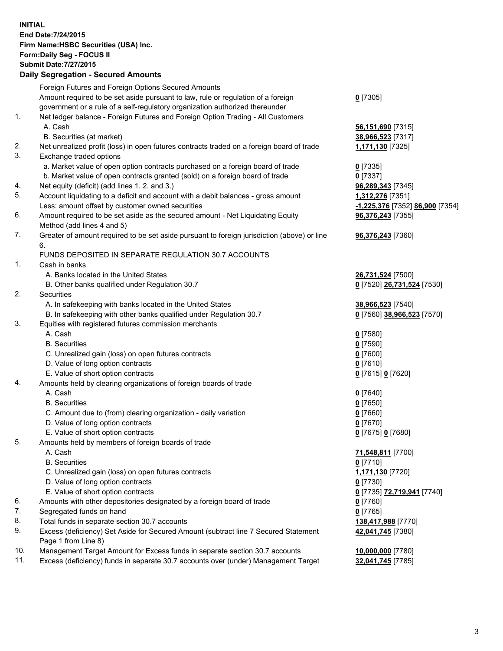**INITIAL End Date:7/24/2015 Firm Name:HSBC Securities (USA) Inc. Form:Daily Seg - FOCUS II Submit Date:7/27/2015 Daily Segregation - Secured Amounts**

## Foreign Futures and Foreign Options Secured Amounts Amount required to be set aside pursuant to law, rule or regulation of a foreign government or a rule of a self-regulatory organization authorized thereunder 1. Net ledger balance - Foreign Futures and Foreign Option Trading - All Customers A. Cash **56,151,690** [7315] B. Securities (at market) **38,966,523** [7317] 2. Net unrealized profit (loss) in open futures contracts traded on a foreign board of trade **1,171,130** [7325] 3. Exchange traded options a. Market value of open option contracts purchased on a foreign board of trade **0** [7335] b. Market value of open contracts granted (sold) on a foreign board of trade **0** [7337] 4. Net equity (deficit) (add lines 1. 2. and 3.) **96,289,343** [7345] 5. Account liquidating to a deficit and account with a debit balances - gross amount **1,312,276** [7351] Less: amount offset by customer owned securities **-1,225,376** [7352] **86,900** [7354] 6. Amount required to be set aside as the secured amount - Net Liquidating Equity Method (add lines 4 and 5) 7. Greater of amount required to be set aside pursuant to foreign jurisdiction (above) or line 6. FUNDS DEPOSITED IN SEPARATE REGULATION 30.7 ACCOUNTS

- 1. Cash in banks
	- A. Banks located in the United States **26,731,524** [7500]
	- B. Other banks qualified under Regulation 30.7 **0** [7520] **26,731,524** [7530]
- 2. Securities
	- A. In safekeeping with banks located in the United States **38,966,523** [7540]
	- B. In safekeeping with other banks qualified under Regulation 30.7 **0** [7560] **38,966,523** [7570]
- 3. Equities with registered futures commission merchants
	- A. Cash **0** [7580]
	- B. Securities **0** [7590]
	- C. Unrealized gain (loss) on open futures contracts **0** [7600]
	- D. Value of long option contracts **0** [7610]
	- E. Value of short option contracts **0** [7615] **0** [7620]
- 4. Amounts held by clearing organizations of foreign boards of trade
	-
	-
	- C. Amount due to (from) clearing organization daily variation **0** [7660]
	- D. Value of long option contracts **0** [7670]
	- E. Value of short option contracts **0** [7675] **0** [7680]
- 5. Amounts held by members of foreign boards of trade
	-
	-
	- C. Unrealized gain (loss) on open futures contracts **1,171,130** [7720]
	- D. Value of long option contracts **0** [7730]
	- E. Value of short option contracts **0** [7735] **72,719,941** [7740]
- 6. Amounts with other depositories designated by a foreign board of trade **0** [7760]
- 7. Segregated funds on hand **0** [7765]
- 8. Total funds in separate section 30.7 accounts **138,417,988** [7770]
- 9. Excess (deficiency) Set Aside for Secured Amount (subtract line 7 Secured Statement Page 1 from Line 8)
- 10. Management Target Amount for Excess funds in separate section 30.7 accounts **10,000,000** [7780]
- 11. Excess (deficiency) funds in separate 30.7 accounts over (under) Management Target **32,041,745** [7785]

**0** [7305]

**96,376,243** [7355] **96,376,243** [7360]

 A. Cash **0** [7640] B. Securities **0** [7650]

 A. Cash **71,548,811** [7700] B. Securities **0** [7710] **42,041,745** [7380]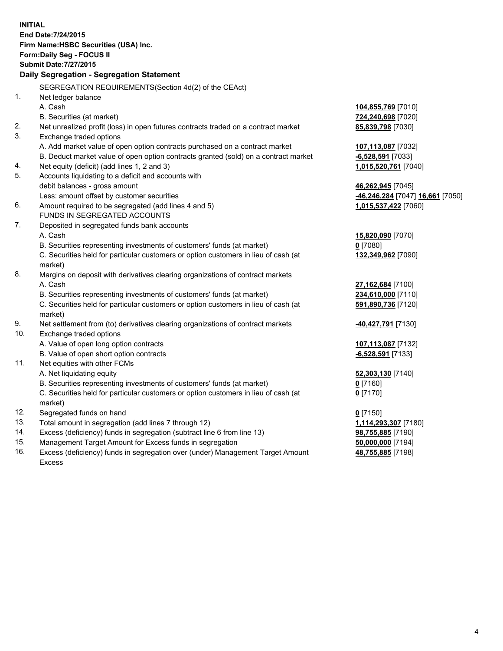**INITIAL End Date:7/24/2015 Firm Name:HSBC Securities (USA) Inc. Form:Daily Seg - FOCUS II Submit Date:7/27/2015 Daily Segregation - Segregation Statement** SEGREGATION REQUIREMENTS(Section 4d(2) of the CEAct) 1. Net ledger balance A. Cash **104,855,769** [7010] B. Securities (at market) **724,240,698** [7020] 2. Net unrealized profit (loss) in open futures contracts traded on a contract market **85,839,798** [7030] 3. Exchange traded options A. Add market value of open option contracts purchased on a contract market **107,113,087** [7032] B. Deduct market value of open option contracts granted (sold) on a contract market **-6,528,591** [7033] 4. Net equity (deficit) (add lines 1, 2 and 3) **1,015,520,761** [7040] 5. Accounts liquidating to a deficit and accounts with debit balances - gross amount **46,262,945** [7045] Less: amount offset by customer securities **-46,246,284** [7047] **16,661** [7050] 6. Amount required to be segregated (add lines 4 and 5) **1,015,537,422** [7060] FUNDS IN SEGREGATED ACCOUNTS 7. Deposited in segregated funds bank accounts A. Cash **15,820,090** [7070] B. Securities representing investments of customers' funds (at market) **0** [7080] C. Securities held for particular customers or option customers in lieu of cash (at market) **132,349,962** [7090] 8. Margins on deposit with derivatives clearing organizations of contract markets A. Cash **27,162,684** [7100] B. Securities representing investments of customers' funds (at market) **234,610,000** [7110] C. Securities held for particular customers or option customers in lieu of cash (at market) **591,890,736** [7120] 9. Net settlement from (to) derivatives clearing organizations of contract markets **-40,427,791** [7130] 10. Exchange traded options A. Value of open long option contracts **107,113,087** [7132] B. Value of open short option contracts **-6,528,591** [7133] 11. Net equities with other FCMs A. Net liquidating equity **52,303,130** [7140] B. Securities representing investments of customers' funds (at market) **0** [7160] C. Securities held for particular customers or option customers in lieu of cash (at market) **0** [7170] 12. Segregated funds on hand **0** [7150] 13. Total amount in segregation (add lines 7 through 12) **1,114,293,307** [7180] 14. Excess (deficiency) funds in segregation (subtract line 6 from line 13) **98,755,885** [7190] 15. Management Target Amount for Excess funds in segregation **50,000,000** [7194] **48,755,885** [7198]

16. Excess (deficiency) funds in segregation over (under) Management Target Amount Excess